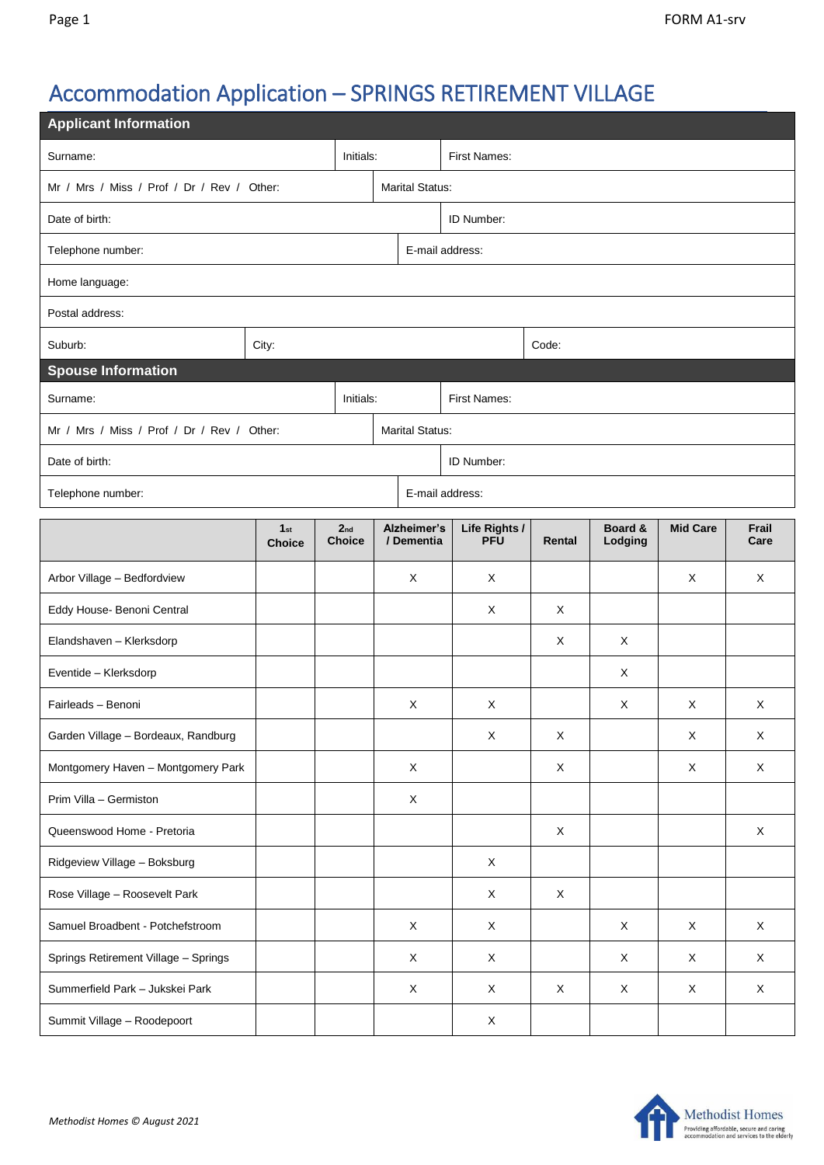## Accommodation Application – SPRINGS RETIREMENT VILLAGE

| <b>Applicant Information</b>               |                                  |                                  |  |                           |                             |             |                    |                 |               |  |  |
|--------------------------------------------|----------------------------------|----------------------------------|--|---------------------------|-----------------------------|-------------|--------------------|-----------------|---------------|--|--|
| Initials:<br>Surname:                      |                                  |                                  |  | <b>First Names:</b>       |                             |             |                    |                 |               |  |  |
| Mr / Mrs / Miss / Prof / Dr / Rev / Other: |                                  |                                  |  | <b>Marital Status:</b>    |                             |             |                    |                 |               |  |  |
| Date of birth:                             |                                  | ID Number:                       |  |                           |                             |             |                    |                 |               |  |  |
| Telephone number:                          |                                  |                                  |  | E-mail address:           |                             |             |                    |                 |               |  |  |
| Home language:                             |                                  |                                  |  |                           |                             |             |                    |                 |               |  |  |
| Postal address:                            |                                  |                                  |  |                           |                             |             |                    |                 |               |  |  |
| Suburb:                                    | City:                            |                                  |  |                           | Code:                       |             |                    |                 |               |  |  |
| <b>Spouse Information</b>                  |                                  |                                  |  |                           |                             |             |                    |                 |               |  |  |
| Surname:<br>Initials:                      |                                  |                                  |  | <b>First Names:</b>       |                             |             |                    |                 |               |  |  |
| Mr / Mrs / Miss / Prof / Dr / Rev / Other: |                                  | <b>Marital Status:</b>           |  |                           |                             |             |                    |                 |               |  |  |
| Date of birth:                             |                                  |                                  |  | ID Number:                |                             |             |                    |                 |               |  |  |
| Telephone number:                          |                                  |                                  |  | E-mail address:           |                             |             |                    |                 |               |  |  |
|                                            | 1 <sub>st</sub><br><b>Choice</b> | 2 <sub>nd</sub><br><b>Choice</b> |  | Alzheimer's<br>/ Dementia | Life Rights /<br><b>PFU</b> | Rental      | Board &<br>Lodging | <b>Mid Care</b> | Frail<br>Care |  |  |
| Arbor Village - Bedfordview                |                                  |                                  |  | X                         | X                           |             |                    | X               | X             |  |  |
| Eddy House- Benoni Central                 |                                  |                                  |  |                           | Χ                           | X           |                    |                 |               |  |  |
| Elandshaven - Klerksdorp                   |                                  |                                  |  |                           |                             | X           | X                  |                 |               |  |  |
| Eventide - Klerksdorp                      |                                  |                                  |  |                           |                             |             | X                  |                 |               |  |  |
| Fairleads - Benoni                         |                                  |                                  |  | X                         | X                           |             | X                  | X               | X             |  |  |
| Garden Village - Bordeaux, Randburg        |                                  |                                  |  |                           | X                           | Χ           |                    | X               | X             |  |  |
| Montgomery Haven - Montgomery Park         |                                  |                                  |  | X                         |                             | X           |                    | X               | X             |  |  |
| Prim Villa - Germiston                     |                                  |                                  |  | X                         |                             |             |                    |                 |               |  |  |
| Queenswood Home - Pretoria                 |                                  |                                  |  |                           |                             | $\mathsf X$ |                    |                 | X             |  |  |
| Ridgeview Village - Boksburg               |                                  |                                  |  |                           | X                           |             |                    |                 |               |  |  |
| Rose Village - Roosevelt Park              |                                  |                                  |  |                           | X                           | $\mathsf X$ |                    |                 |               |  |  |
| Samuel Broadbent - Potchefstroom           |                                  |                                  |  | $\mathsf X$               | $\mathsf X$                 |             | X                  | X               | $\mathsf X$   |  |  |
| Springs Retirement Village - Springs       |                                  |                                  |  | X                         | X                           |             | X                  | X               | X             |  |  |
| Summerfield Park - Jukskei Park            |                                  |                                  |  | X                         | X                           | $\mathsf X$ | X                  | X               | X             |  |  |
| Summit Village - Roodepoort                |                                  |                                  |  |                           | X                           |             |                    |                 |               |  |  |

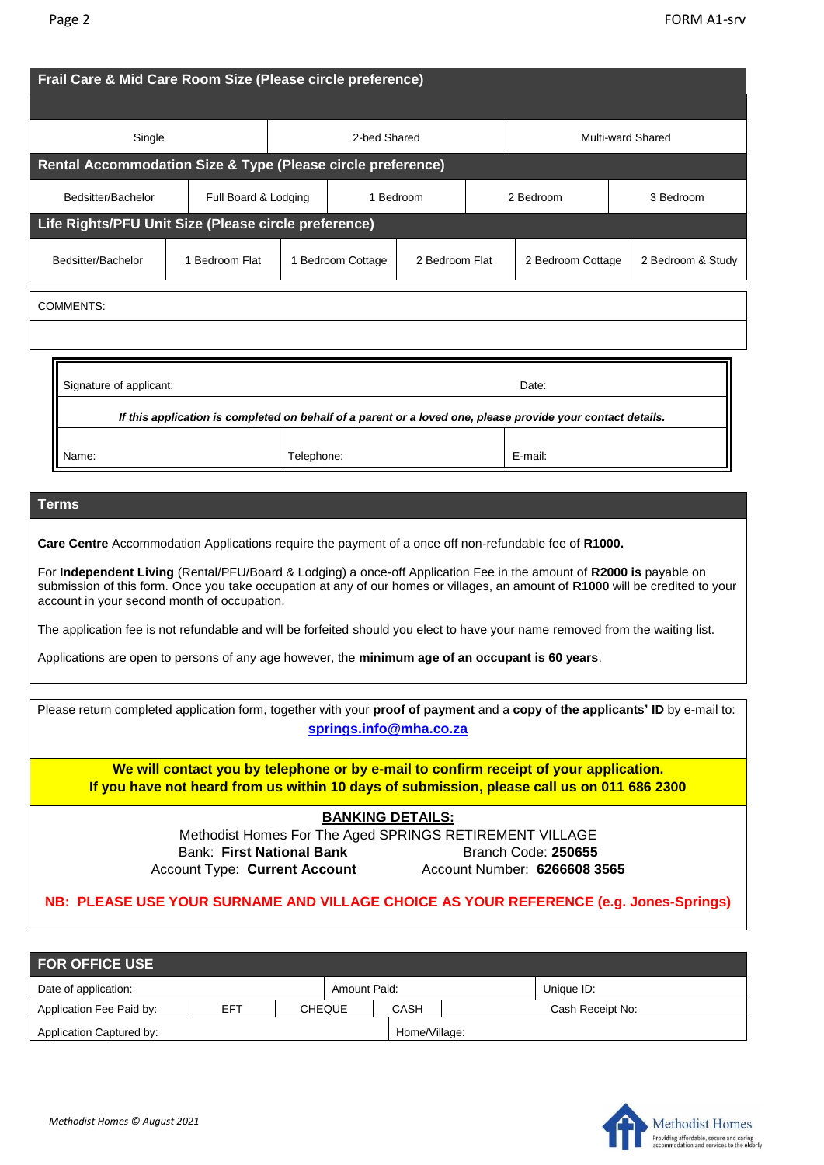| Frail Care & Mid Care Room Size (Please circle preference)                                                  |                      |              |                   |                |                   |                   |  |                   |  |  |
|-------------------------------------------------------------------------------------------------------------|----------------------|--------------|-------------------|----------------|-------------------|-------------------|--|-------------------|--|--|
| Single                                                                                                      |                      | 2-bed Shared |                   |                | Multi-ward Shared |                   |  |                   |  |  |
| Rental Accommodation Size & Type (Please circle preference)                                                 |                      |              |                   |                |                   |                   |  |                   |  |  |
| Bedsitter/Bachelor                                                                                          | Full Board & Lodging |              | 1 Bedroom         |                |                   | 2 Bedroom         |  | 3 Bedroom         |  |  |
| Life Rights/PFU Unit Size (Please circle preference)                                                        |                      |              |                   |                |                   |                   |  |                   |  |  |
| Bedsitter/Bachelor                                                                                          | 1 Bedroom Flat       |              | 1 Bedroom Cottage | 2 Bedroom Flat |                   | 2 Bedroom Cottage |  | 2 Bedroom & Study |  |  |
| <b>COMMENTS:</b>                                                                                            |                      |              |                   |                |                   |                   |  |                   |  |  |
| Signature of applicant:<br>Date:                                                                            |                      |              |                   |                |                   |                   |  |                   |  |  |
| If this application is completed on behalf of a parent or a loved one, please provide your contact details. |                      |              |                   |                |                   |                   |  |                   |  |  |
| Telephone:<br>Name:                                                                                         |                      |              |                   |                |                   | E-mail:           |  |                   |  |  |
| <b>Terms</b>                                                                                                |                      |              |                   |                |                   |                   |  |                   |  |  |
| Care Centre Accommodation Applications require the payment of a once off non-refundable fee of R1000.       |                      |              |                   |                |                   |                   |  |                   |  |  |

For **Independent Living** (Rental/PFU/Board & Lodging) a once-off Application Fee in the amount of **R2000 is** payable on submission of this form. Once you take occupation at any of our homes or villages, an amount of **R1000** will be credited to your account in your second month of occupation.

The application fee is not refundable and will be forfeited should you elect to have your name removed from the waiting list.

Applications are open to persons of any age however, the **minimum age of an occupant is 60 years**.

| Please return completed application form, together with your proof of payment and a copy of the applicants' ID by e-mail to:<br>springs.info@mha.co.za                              |                              |  |  |  |  |  |  |  |
|-------------------------------------------------------------------------------------------------------------------------------------------------------------------------------------|------------------------------|--|--|--|--|--|--|--|
| We will contact you by telephone or by e-mail to confirm receipt of your application.<br>If you have not heard from us within 10 days of submission, please call us on 011 686 2300 |                              |  |  |  |  |  |  |  |
| <b>BANKING DETAILS:</b>                                                                                                                                                             |                              |  |  |  |  |  |  |  |
| Methodist Homes For The Aged SPRINGS RETIREMENT VILLAGE                                                                                                                             |                              |  |  |  |  |  |  |  |
| <b>Bank: First National Bank</b>                                                                                                                                                    | Branch Code: 250655          |  |  |  |  |  |  |  |
| <b>Account Type: Current Account</b>                                                                                                                                                | Account Number: 6266608 3565 |  |  |  |  |  |  |  |
| NB: PLEASE USE YOUR SURNAME AND VILLAGE CHOICE AS YOUR REFERENCE (e.g. Jones-Springs)                                                                                               |                              |  |  |  |  |  |  |  |

| <b>FOR OFFICE USE</b>    |     |               |              |               |  |                  |  |  |  |
|--------------------------|-----|---------------|--------------|---------------|--|------------------|--|--|--|
| Date of application:     |     |               | Amount Paid: |               |  | Unique ID:       |  |  |  |
| Application Fee Paid by: | EFT | <b>CHEQUE</b> |              | CASH          |  | Cash Receipt No: |  |  |  |
| Application Captured by: |     |               |              | Home/Village: |  |                  |  |  |  |

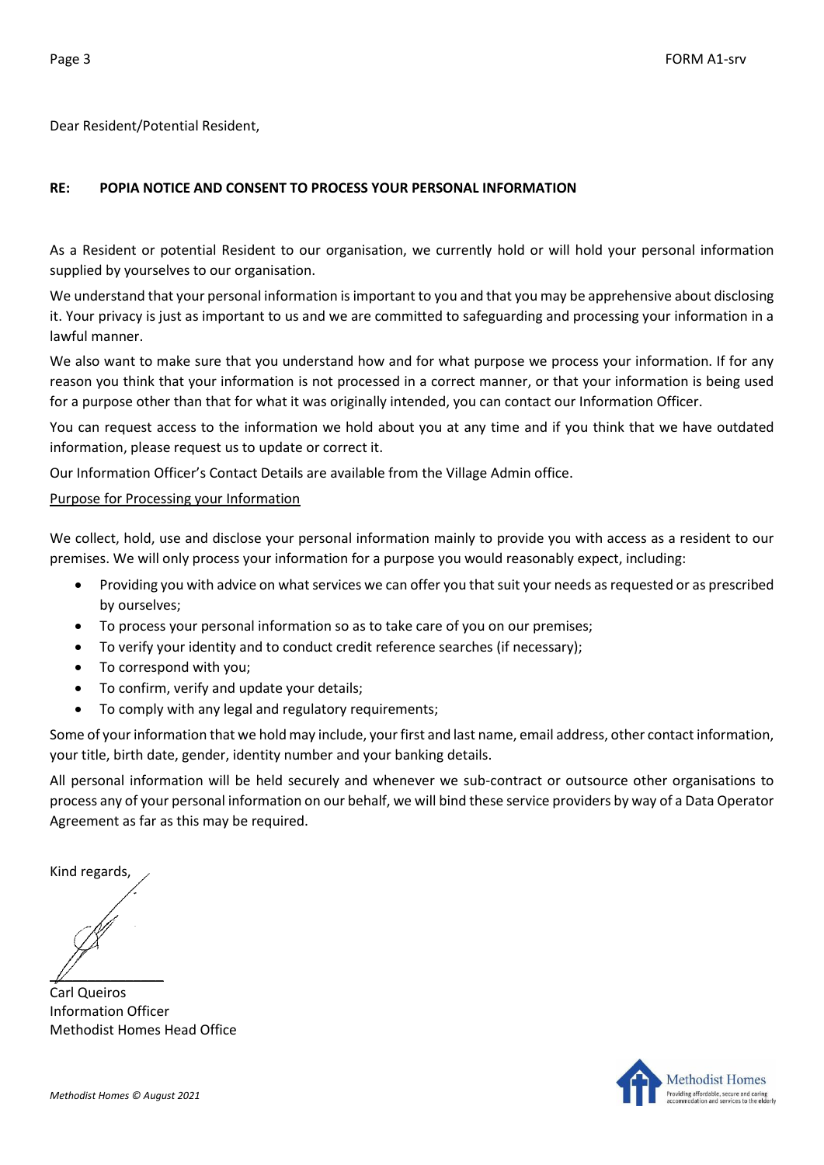Dear Resident/Potential Resident,

## **RE: POPIA NOTICE AND CONSENT TO PROCESS YOUR PERSONAL INFORMATION**

As a Resident or potential Resident to our organisation, we currently hold or will hold your personal information supplied by yourselves to our organisation.

We understand that your personal information is important to you and that you may be apprehensive about disclosing it. Your privacy is just as important to us and we are committed to safeguarding and processing your information in a lawful manner.

We also want to make sure that you understand how and for what purpose we process your information. If for any reason you think that your information is not processed in a correct manner, or that your information is being used for a purpose other than that for what it was originally intended, you can contact our Information Officer.

You can request access to the information we hold about you at any time and if you think that we have outdated information, please request us to update or correct it.

Our Information Officer's Contact Details are available from the Village Admin office.

## Purpose for Processing your Information

We collect, hold, use and disclose your personal information mainly to provide you with access as a resident to our premises. We will only process your information for a purpose you would reasonably expect, including:

- Providing you with advice on what services we can offer you that suit your needs as requested or as prescribed by ourselves;
- To process your personal information so as to take care of you on our premises;
- To verify your identity and to conduct credit reference searches (if necessary);
- To correspond with you;
- To confirm, verify and update your details;
- To comply with any legal and regulatory requirements;

Some of your information that we hold may include, your first and last name, email address, other contact information, your title, birth date, gender, identity number and your banking details.

All personal information will be held securely and whenever we sub-contract or outsource other organisations to process any of your personal information on our behalf, we will bind these service providers by way of a Data Operator Agreement as far as this may be required.

Kind regards,

 $\mathbb{Z}$ 

Carl Queiros Information Officer Methodist Homes Head Office